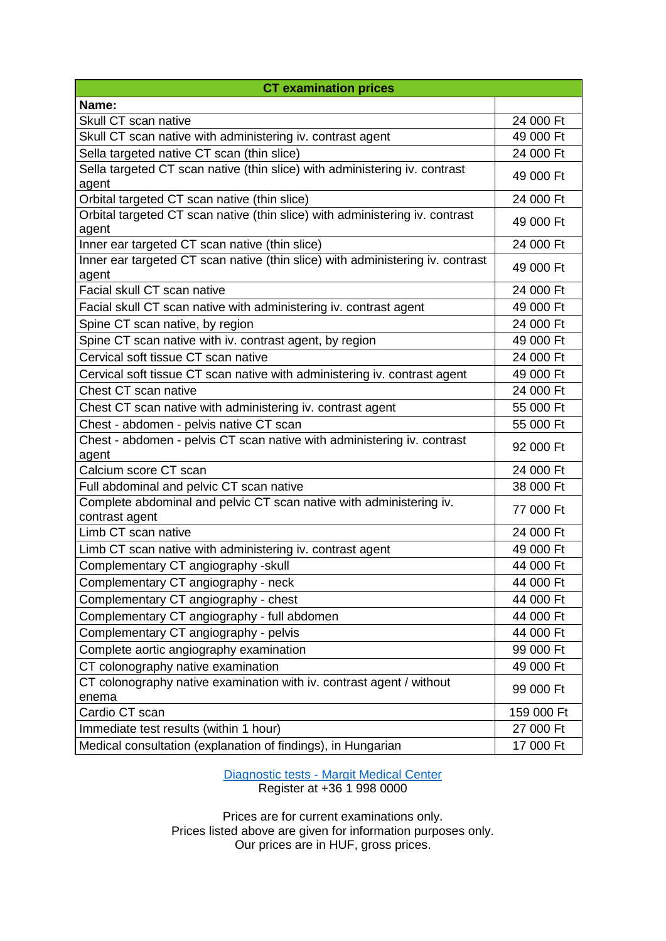| <b>CT examination prices</b>                                                            |            |
|-----------------------------------------------------------------------------------------|------------|
| Name:                                                                                   |            |
| Skull CT scan native                                                                    | 24 000 Ft  |
| Skull CT scan native with administering iv. contrast agent                              | 49 000 Ft  |
| Sella targeted native CT scan (thin slice)                                              | 24 000 Ft  |
| Sella targeted CT scan native (thin slice) with administering iv. contrast<br>agent     | 49 000 Ft  |
| Orbital targeted CT scan native (thin slice)                                            | 24 000 Ft  |
| Orbital targeted CT scan native (thin slice) with administering iv. contrast<br>agent   | 49 000 Ft  |
| Inner ear targeted CT scan native (thin slice)                                          | 24 000 Ft  |
| Inner ear targeted CT scan native (thin slice) with administering iv. contrast<br>agent | 49 000 Ft  |
| Facial skull CT scan native                                                             | 24 000 Ft  |
| Facial skull CT scan native with administering iv. contrast agent                       | 49 000 Ft  |
| Spine CT scan native, by region                                                         | 24 000 Ft  |
| Spine CT scan native with iv. contrast agent, by region                                 | 49 000 Ft  |
| Cervical soft tissue CT scan native                                                     | 24 000 Ft  |
| Cervical soft tissue CT scan native with administering iv. contrast agent               | 49 000 Ft  |
| Chest CT scan native                                                                    | 24 000 Ft  |
| Chest CT scan native with administering iv. contrast agent                              | 55 000 Ft  |
| Chest - abdomen - pelvis native CT scan                                                 | 55 000 Ft  |
| Chest - abdomen - pelvis CT scan native with administering iv. contrast<br>agent        | 92 000 Ft  |
| Calcium score CT scan                                                                   | 24 000 Ft  |
| Full abdominal and pelvic CT scan native                                                | 38 000 Ft  |
| Complete abdominal and pelvic CT scan native with administering iv.<br>contrast agent   | 77 000 Ft  |
| Limb CT scan native                                                                     | 24 000 Ft  |
| Limb CT scan native with administering iv. contrast agent                               | 49 000 Ft  |
| Complementary CT angiography -skull                                                     | 44 000 Ft  |
| Complementary CT angiography - neck                                                     | 44 000 Ft  |
| Complementary CT angiography - chest                                                    | 44 000 Ft  |
| Complementary CT angiography - full abdomen                                             | 44 000 Ft  |
| Complementary CT angiography - pelvis                                                   | 44 000 Ft  |
| Complete aortic angiography examination                                                 | 99 000 Ft  |
| CT colonography native examination                                                      | 49 000 Ft  |
| CT colonography native examination with iv. contrast agent / without<br>enema           | 99 000 Ft  |
| Cardio CT scan                                                                          | 159 000 Ft |
| Immediate test results (within 1 hour)                                                  | 27 000 Ft  |
| Medical consultation (explanation of findings), in Hungarian                            | 17 000 Ft  |

Diagnostic tests - [Margit Medical Center](https://margitmedical.hu/en/) Register at +36 1 998 0000

Prices are for current examinations only. Prices listed above are given for information purposes only. Our prices are in HUF, gross prices.